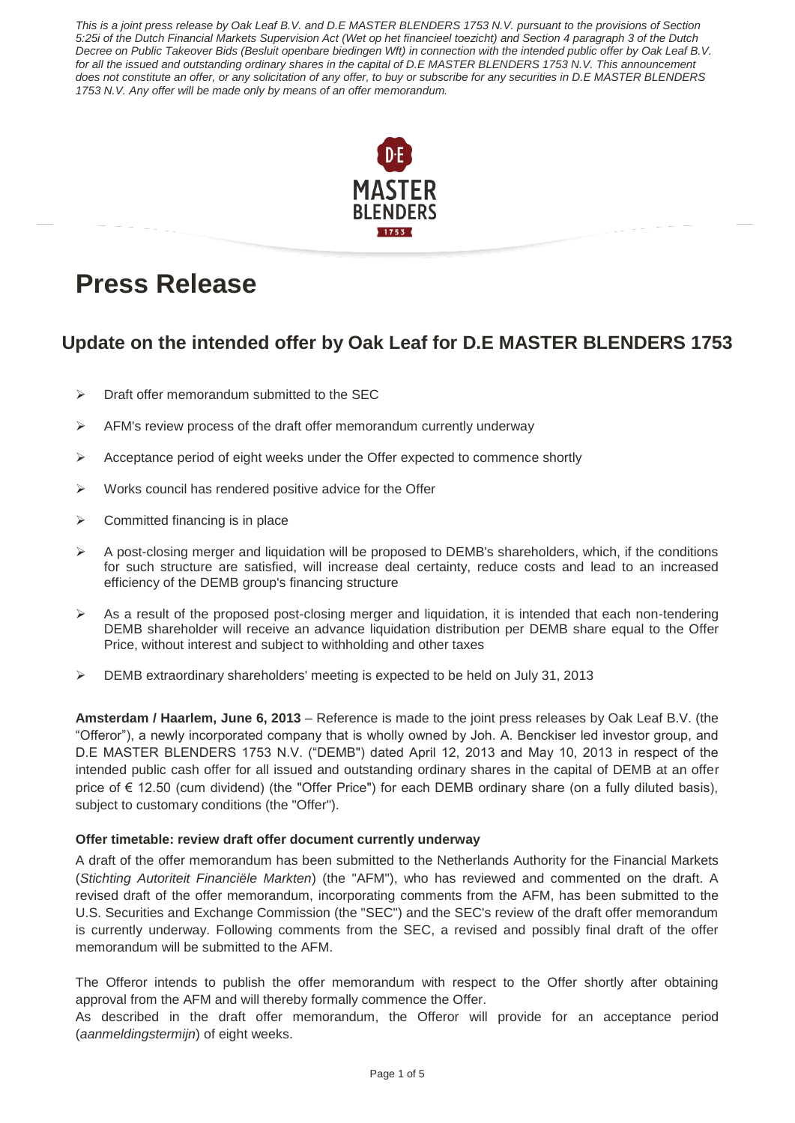*This is a joint press release by Oak Leaf B.V. and D.E MASTER BLENDERS 1753 N.V. pursuant to the provisions of Section 5:25i of the Dutch Financial Markets Supervision Act (Wet op het financieel toezicht) and Section 4 paragraph 3 of the Dutch Decree on Public Takeover Bids (Besluit openbare biedingen Wft) in connection with the intended public offer by Oak Leaf B.V.* for all the issued and outstanding ordinary shares in the capital of D.E MASTER BLENDERS 1753 N.V. This announcement *does not constitute an offer, or any solicitation of any offer, to buy or subscribe for any securities in D.E MASTER BLENDERS 1753 N.V. Any offer will be made only by means of an offer memorandum.* 



# **Press Release**

# **Update on the intended offer by Oak Leaf for D.E MASTER BLENDERS 1753**

- $\triangleright$  Draft offer memorandum submitted to the SEC
- $\triangleright$  AFM's review process of the draft offer memorandum currently underway
- $\triangleright$  Acceptance period of eight weeks under the Offer expected to commence shortly
- $\triangleright$  Works council has rendered positive advice for the Offer
- $\triangleright$  Committed financing is in place
- $\triangleright$  A post-closing merger and liquidation will be proposed to DEMB's shareholders, which, if the conditions for such structure are satisfied, will increase deal certainty, reduce costs and lead to an increased efficiency of the DEMB group's financing structure
- $\triangleright$  As a result of the proposed post-closing merger and liquidation, it is intended that each non-tendering DEMB shareholder will receive an advance liquidation distribution per DEMB share equal to the Offer Price, without interest and subject to withholding and other taxes
- $\triangleright$  DEMB extraordinary shareholders' meeting is expected to be held on July 31, 2013

**Amsterdam / Haarlem, June 6, 2013** – Reference is made to the joint press releases by Oak Leaf B.V. (the "Offeror"), a newly incorporated company that is wholly owned by Joh. A. Benckiser led investor group, and D.E MASTER BLENDERS 1753 N.V. ("DEMB") dated April 12, 2013 and May 10, 2013 in respect of the intended public cash offer for all issued and outstanding ordinary shares in the capital of DEMB at an offer price of € 12.50 (cum dividend) (the "Offer Price") for each DEMB ordinary share (on a fully diluted basis), subject to customary conditions (the "Offer").

# **Offer timetable: review draft offer document currently underway**

A draft of the offer memorandum has been submitted to the Netherlands Authority for the Financial Markets (*Stichting Autoriteit Financiële Markten*) (the "AFM"), who has reviewed and commented on the draft. A revised draft of the offer memorandum, incorporating comments from the AFM, has been submitted to the U.S. Securities and Exchange Commission (the "SEC") and the SEC's review of the draft offer memorandum is currently underway. Following comments from the SEC, a revised and possibly final draft of the offer memorandum will be submitted to the AFM.

The Offeror intends to publish the offer memorandum with respect to the Offer shortly after obtaining approval from the AFM and will thereby formally commence the Offer.

As described in the draft offer memorandum, the Offeror will provide for an acceptance period (*aanmeldingstermijn*) of eight weeks.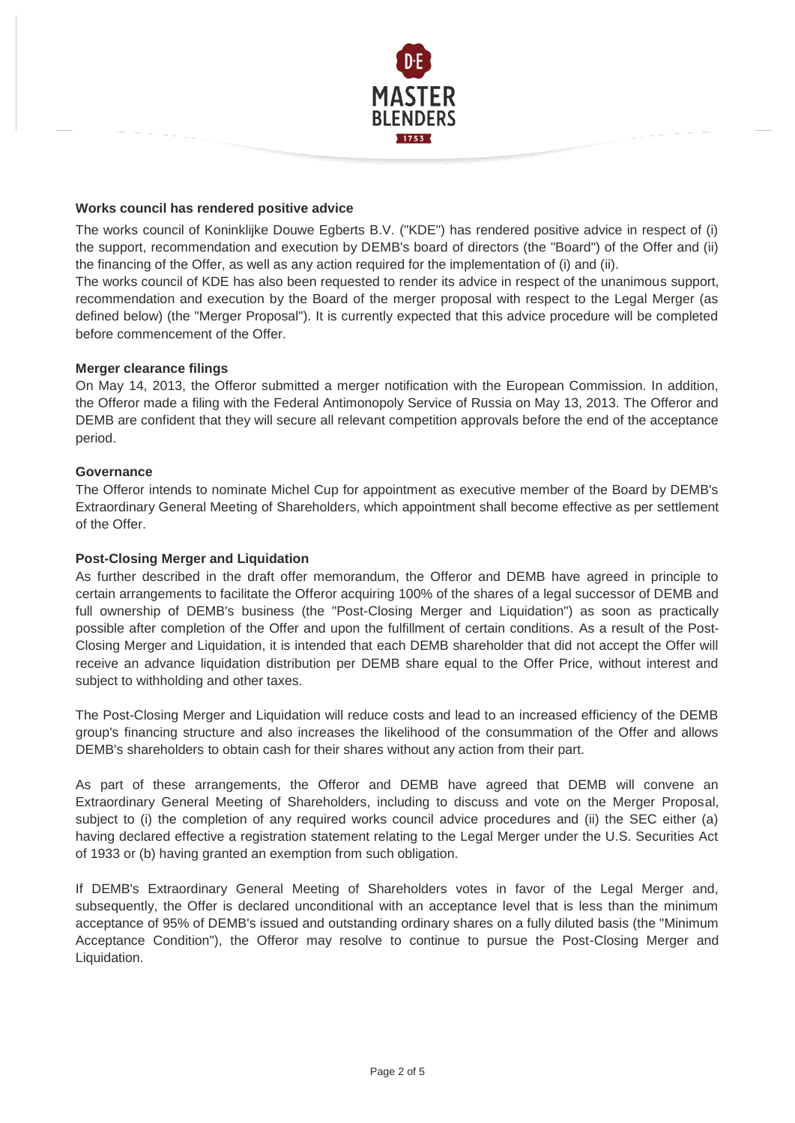

# **Works council has rendered positive advice**

The works council of Koninklijke Douwe Egberts B.V. ("KDE") has rendered positive advice in respect of (i) the support, recommendation and execution by DEMB's board of directors (the "Board") of the Offer and (ii) the financing of the Offer, as well as any action required for the implementation of (i) and (ii). The works council of KDE has also been requested to render its advice in respect of the unanimous support,

recommendation and execution by the Board of the merger proposal with respect to the Legal Merger (as defined below) (the "Merger Proposal"). It is currently expected that this advice procedure will be completed before commencement of the Offer.

#### **Merger clearance filings**

On May 14, 2013, the Offeror submitted a merger notification with the European Commission. In addition, the Offeror made a filing with the Federal Antimonopoly Service of Russia on May 13, 2013. The Offeror and DEMB are confident that they will secure all relevant competition approvals before the end of the acceptance period.

#### **Governance**

The Offeror intends to nominate Michel Cup for appointment as executive member of the Board by DEMB's Extraordinary General Meeting of Shareholders, which appointment shall become effective as per settlement of the Offer.

#### **Post-Closing Merger and Liquidation**

As further described in the draft offer memorandum, the Offeror and DEMB have agreed in principle to certain arrangements to facilitate the Offeror acquiring 100% of the shares of a legal successor of DEMB and full ownership of DEMB's business (the "Post-Closing Merger and Liquidation") as soon as practically possible after completion of the Offer and upon the fulfillment of certain conditions. As a result of the Post-Closing Merger and Liquidation, it is intended that each DEMB shareholder that did not accept the Offer will receive an advance liquidation distribution per DEMB share equal to the Offer Price, without interest and subject to withholding and other taxes.

The Post-Closing Merger and Liquidation will reduce costs and lead to an increased efficiency of the DEMB group's financing structure and also increases the likelihood of the consummation of the Offer and allows DEMB's shareholders to obtain cash for their shares without any action from their part.

As part of these arrangements, the Offeror and DEMB have agreed that DEMB will convene an Extraordinary General Meeting of Shareholders, including to discuss and vote on the Merger Proposal, subject to (i) the completion of any required works council advice procedures and (ii) the SEC either (a) having declared effective a registration statement relating to the Legal Merger under the U.S. Securities Act of 1933 or (b) having granted an exemption from such obligation.

If DEMB's Extraordinary General Meeting of Shareholders votes in favor of the Legal Merger and, subsequently, the Offer is declared unconditional with an acceptance level that is less than the minimum acceptance of 95% of DEMB's issued and outstanding ordinary shares on a fully diluted basis (the "Minimum Acceptance Condition"), the Offeror may resolve to continue to pursue the Post-Closing Merger and Liquidation.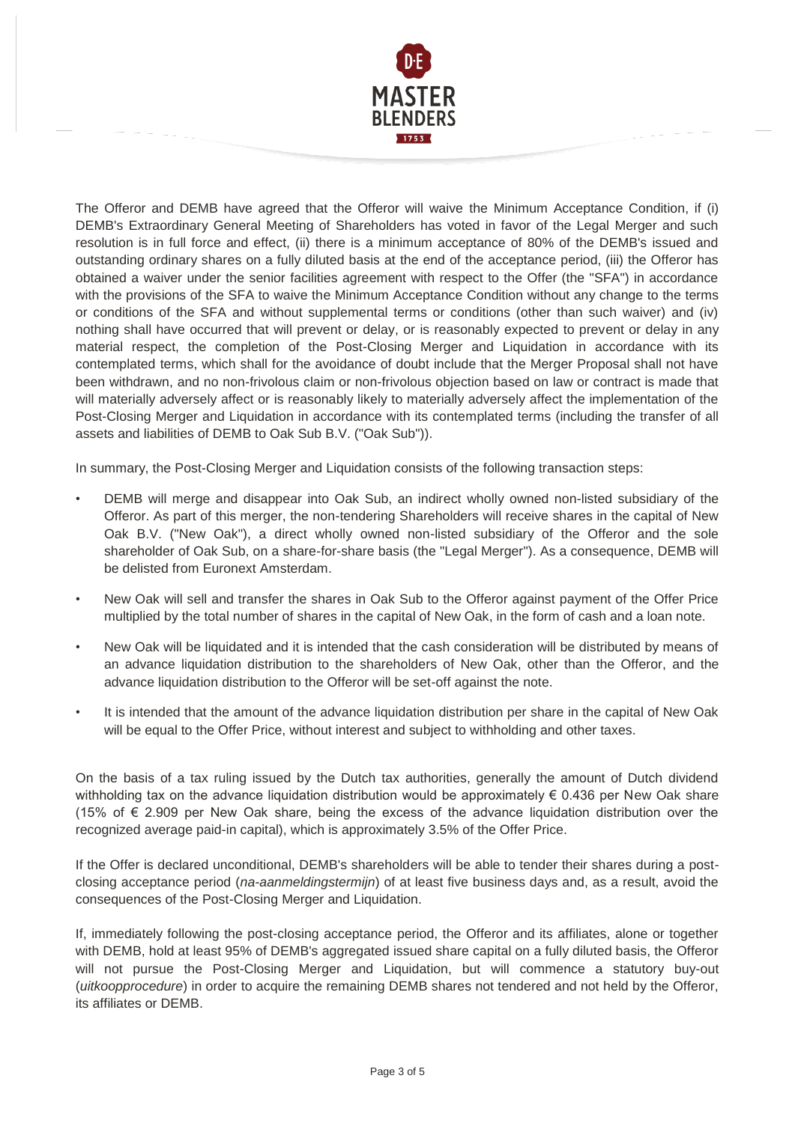

The Offeror and DEMB have agreed that the Offeror will waive the Minimum Acceptance Condition, if (i) DEMB's Extraordinary General Meeting of Shareholders has voted in favor of the Legal Merger and such resolution is in full force and effect, (ii) there is a minimum acceptance of 80% of the DEMB's issued and outstanding ordinary shares on a fully diluted basis at the end of the acceptance period, (iii) the Offeror has obtained a waiver under the senior facilities agreement with respect to the Offer (the "SFA") in accordance with the provisions of the SFA to waive the Minimum Acceptance Condition without any change to the terms or conditions of the SFA and without supplemental terms or conditions (other than such waiver) and (iv) nothing shall have occurred that will prevent or delay, or is reasonably expected to prevent or delay in any material respect, the completion of the Post-Closing Merger and Liquidation in accordance with its contemplated terms, which shall for the avoidance of doubt include that the Merger Proposal shall not have been withdrawn, and no non-frivolous claim or non-frivolous objection based on law or contract is made that will materially adversely affect or is reasonably likely to materially adversely affect the implementation of the Post-Closing Merger and Liquidation in accordance with its contemplated terms (including the transfer of all assets and liabilities of DEMB to Oak Sub B.V. ("Oak Sub")).

In summary, the Post-Closing Merger and Liquidation consists of the following transaction steps:

- DEMB will merge and disappear into Oak Sub, an indirect wholly owned non-listed subsidiary of the Offeror. As part of this merger, the non-tendering Shareholders will receive shares in the capital of New Oak B.V. ("New Oak"), a direct wholly owned non-listed subsidiary of the Offeror and the sole shareholder of Oak Sub, on a share-for-share basis (the "Legal Merger"). As a consequence, DEMB will be delisted from Euronext Amsterdam.
- New Oak will sell and transfer the shares in Oak Sub to the Offeror against payment of the Offer Price multiplied by the total number of shares in the capital of New Oak, in the form of cash and a loan note.
- New Oak will be liquidated and it is intended that the cash consideration will be distributed by means of an advance liquidation distribution to the shareholders of New Oak, other than the Offeror, and the advance liquidation distribution to the Offeror will be set-off against the note.
- It is intended that the amount of the advance liquidation distribution per share in the capital of New Oak will be equal to the Offer Price, without interest and subject to withholding and other taxes.

On the basis of a tax ruling issued by the Dutch tax authorities, generally the amount of Dutch dividend withholding tax on the advance liquidation distribution would be approximately  $\epsilon$  0.436 per New Oak share (15% of € 2.909 per New Oak share, being the excess of the advance liquidation distribution over the recognized average paid-in capital), which is approximately 3.5% of the Offer Price.

If the Offer is declared unconditional, DEMB's shareholders will be able to tender their shares during a postclosing acceptance period (*na-aanmeldingstermijn*) of at least five business days and, as a result, avoid the consequences of the Post-Closing Merger and Liquidation.

If, immediately following the post-closing acceptance period, the Offeror and its affiliates, alone or together with DEMB, hold at least 95% of DEMB's aggregated issued share capital on a fully diluted basis, the Offeror will not pursue the Post-Closing Merger and Liquidation, but will commence a statutory buy-out (*uitkoopprocedure*) in order to acquire the remaining DEMB shares not tendered and not held by the Offeror, its affiliates or DEMB.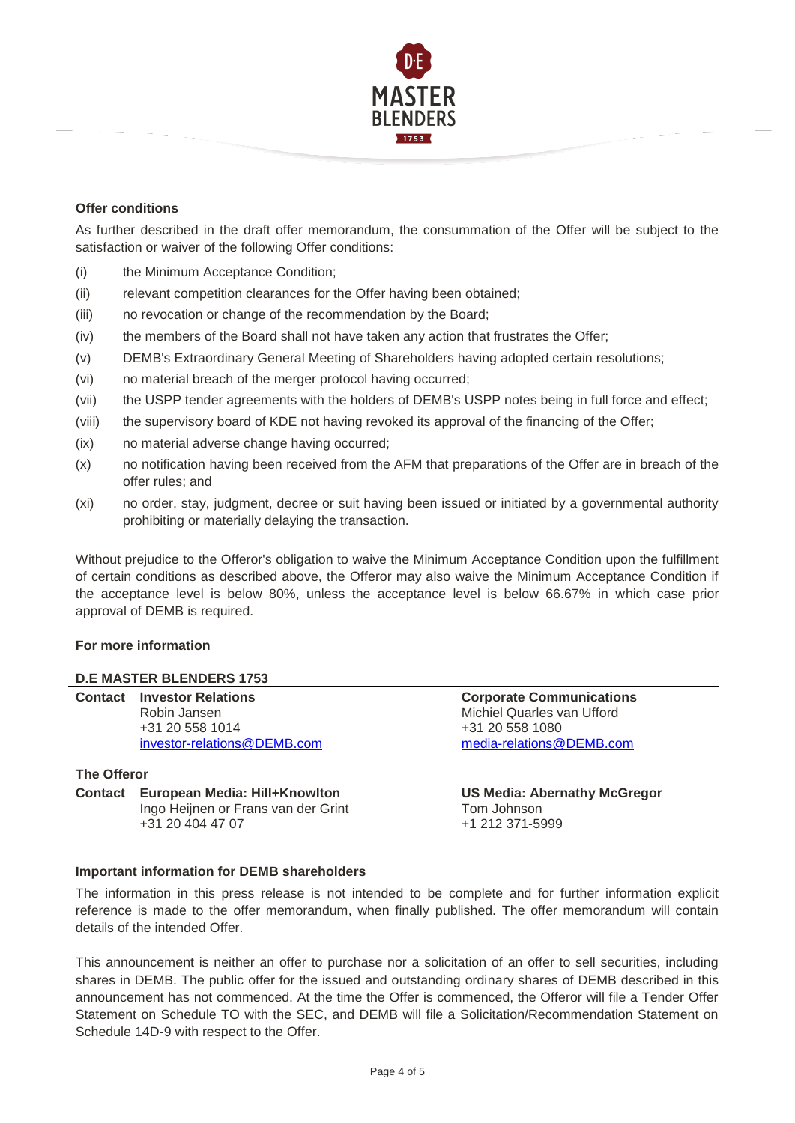

# **Offer conditions**

As further described in the draft offer memorandum, the consummation of the Offer will be subject to the satisfaction or waiver of the following Offer conditions:

- (i) the Minimum Acceptance Condition;
- (ii) relevant competition clearances for the Offer having been obtained;
- (iii) no revocation or change of the recommendation by the Board;
- (iv) the members of the Board shall not have taken any action that frustrates the Offer;
- (v) DEMB's Extraordinary General Meeting of Shareholders having adopted certain resolutions;
- (vi) no material breach of the merger protocol having occurred;
- (vii) the USPP tender agreements with the holders of DEMB's USPP notes being in full force and effect;
- (viii) the supervisory board of KDE not having revoked its approval of the financing of the Offer;
- (ix) no material adverse change having occurred;
- (x) no notification having been received from the AFM that preparations of the Offer are in breach of the offer rules; and
- (xi) no order, stay, judgment, decree or suit having been issued or initiated by a governmental authority prohibiting or materially delaying the transaction.

Without prejudice to the Offeror's obligation to waive the Minimum Acceptance Condition upon the fulfillment of certain conditions as described above, the Offeror may also waive the Minimum Acceptance Condition if the acceptance level is below 80%, unless the acceptance level is below 66.67% in which case prior approval of DEMB is required.

# **For more information**

# **D.E MASTER BLENDERS 1753**

| <b>Contact Investor Relations</b> | <b>Corporate Communications</b> |
|-----------------------------------|---------------------------------|
| Robin Jansen                      | Michiel Quarles van Ufford      |
| +31 20 558 1014                   | +31 20 558 1080                 |
| investor-relations@DEMB.com       | media-relations@DEMB.com        |

#### **The Offeror**

**Contact European Media: Hill+Knowlton US Media: Abernathy McGregor**  Ingo Heijnen or Frans van der Grint Tom Johnson +31 20 404 47 07 +1 212 371-5999

# **Important information for DEMB shareholders**

The information in this press release is not intended to be complete and for further information explicit reference is made to the offer memorandum, when finally published. The offer memorandum will contain details of the intended Offer.

This announcement is neither an offer to purchase nor a solicitation of an offer to sell securities, including shares in DEMB. The public offer for the issued and outstanding ordinary shares of DEMB described in this announcement has not commenced. At the time the Offer is commenced, the Offeror will file a Tender Offer Statement on Schedule TO with the SEC, and DEMB will file a Solicitation/Recommendation Statement on Schedule 14D-9 with respect to the Offer.